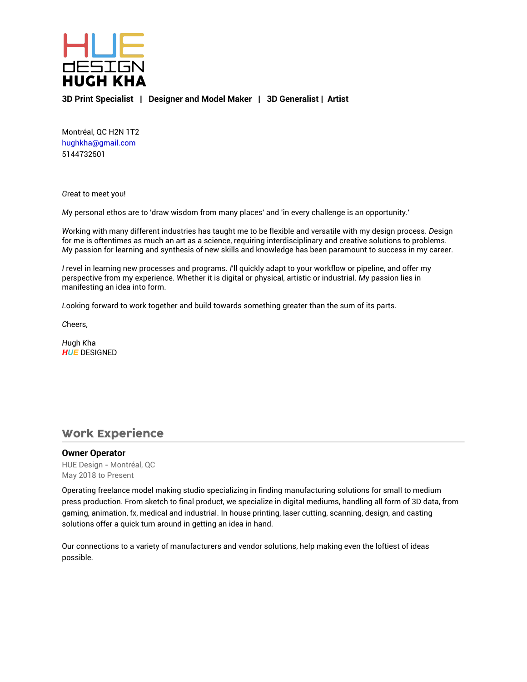

**3D Print Specialist | Designer and Model Maker | 3D Generalist | Artist**

Montréal, QC H2N 1T2 hughkha@gmail.com 5144732501

*G*reat to meet you!

*M*y personal ethos are to 'draw wisdom from many places' and 'in every challenge is an opportunity.'

*W*orking with many different industries has taught me to be flexible and versatile with my design process. *D*esign for me is oftentimes as much an art as a science, requiring interdisciplinary and creative solutions to problems. *M*y passion for learning and synthesis of new skills and knowledge has been paramount to success in my career.

*I* revel in learning new processes and programs. *I*'ll quickly adapt to your workflow or pipeline, and offer my perspective from my experience. *W*hether it is digital or physical, artistic or industrial. *M*y passion lies in manifesting an idea into form.

*L*ooking forward to work together and build towards something greater than the sum of its parts.

*C*heers,

*H*ugh *K*ha *HUE* DESIGNED

## Work Experience

#### **Owner Operator**

HUE Design - Montréal, QC May 2018 to Present

Operating freelance model making studio specializing in finding manufacturing solutions for small to medium press production. From sketch to final product, we specialize in digital mediums, handling all form of 3D data, from gaming, animation, fx, medical and industrial. In house printing, laser cutting, scanning, design, and casting solutions offer a quick turn around in getting an idea in hand.

Our connections to a variety of manufacturers and vendor solutions, help making even the loftiest of ideas possible.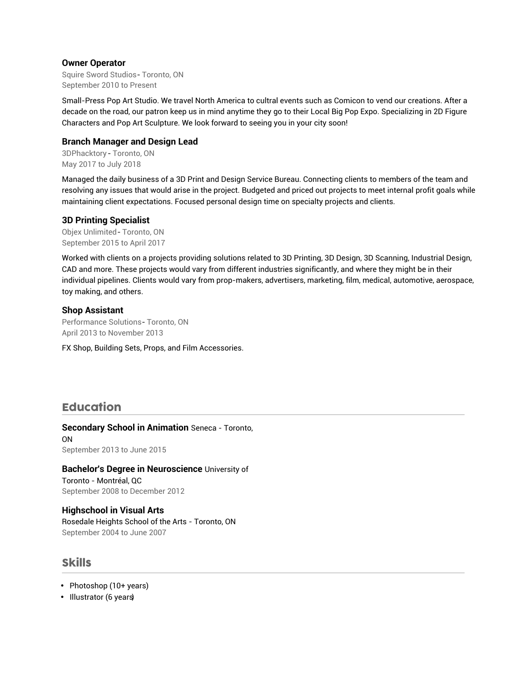#### **Owner Operator**

Squire Sword Studios - Toronto, ON September 2010 to Present

Small-Press Pop Art Studio. We travel North America to cultral events such as Comicon to vend our creations. After a decade on the road, our patron keep us in mind anytime they go to their Local Big Pop Expo. Specializing in 2D Figure Characters and Pop Art Sculpture. We look forward to seeing you in your city soon!

#### **Branch Manager and Design Lead**

3DPhacktory - Toronto, ON May 2017 to July 2018

Managed the daily business of a 3D Print and Design Service Bureau. Connecting clients to members of the team and resolving any issues that would arise in the project. Budgeted and priced out projects to meet internal profit goals while maintaining client expectations. Focused personal design time on specialty projects and clients.

#### **3D Printing Specialist**

Objex Unlimited - Toronto, ON September 2015 to April 2017

Worked with clients on a projects providing solutions related to 3D Printing, 3D Design, 3D Scanning, Industrial Design, CAD and more. These projects would vary from different industries significantly, and where they might be in their individual pipelines. Clients would vary from prop-makers, advertisers, marketing, film, medical, automotive, aerospace, toy making, and others.

#### **Shop Assistant**

Performance Solutions- Toronto, ON April 2013 to November 2013

FX Shop, Building Sets, Props, and Film Accessories.

## Education

**Secondary School in Animation** Seneca - Toronto, ON September 2013 to June 2015

**Bachelor's Degree in Neuroscience** University of Toronto - Montréal, QC September 2008 to December 2012

**Highschool in Visual Arts** Rosedale Heights School of the Arts - Toronto, ON September 2004 to June 2007

### Skills

- Photoshop (10+ years)
- Illustrator (6 years)